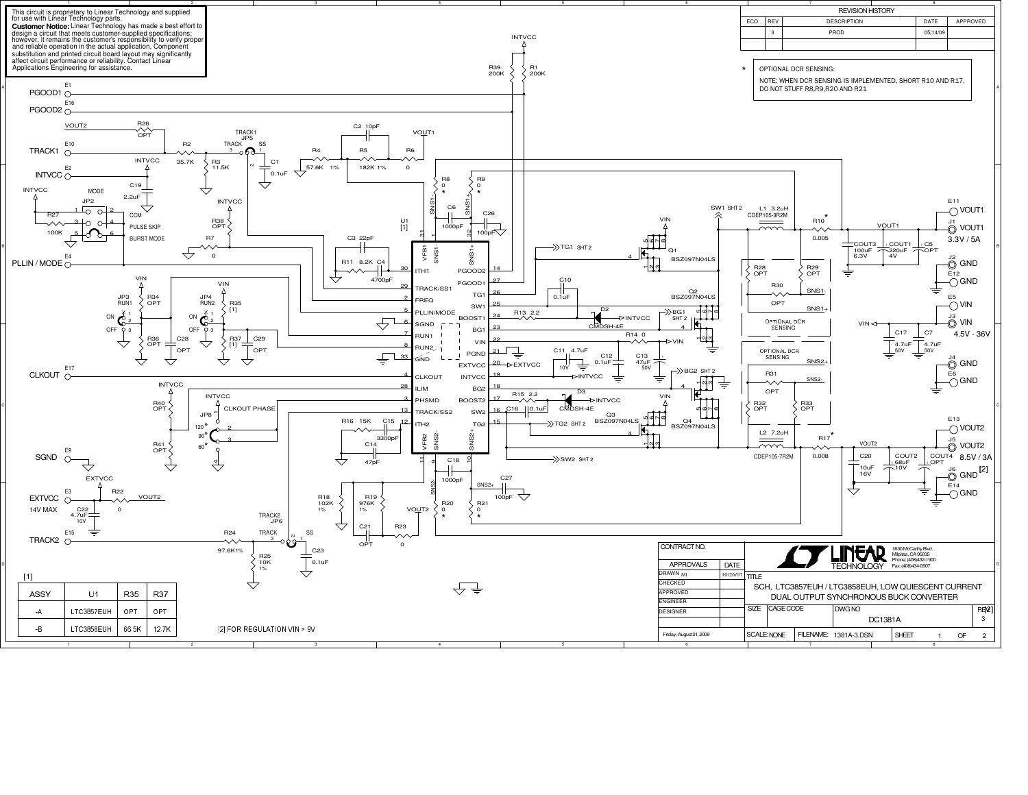